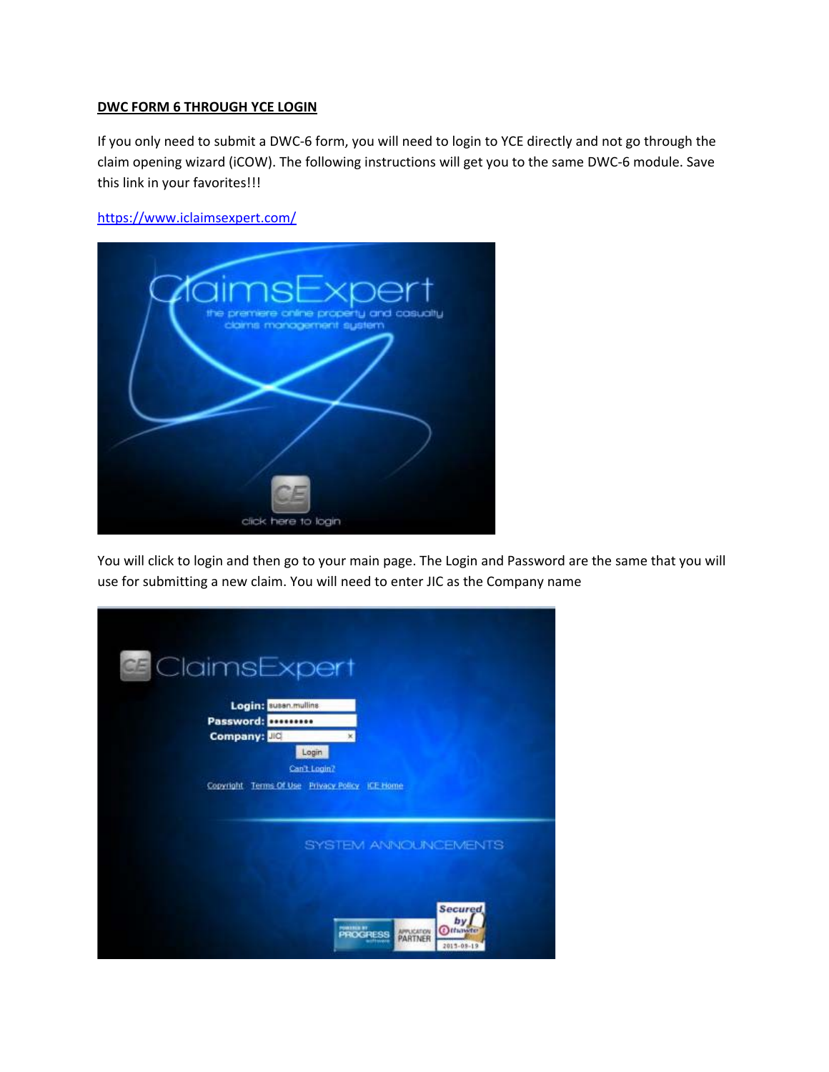## **DWC FORM 6 THROUGH YCE LOGIN**

If you only need to submit a DWC‐6 form, you will need to login to YCE directly and not go through the claim opening wizard (iCOW). The following instructions will get you to the same DWC‐6 module. Save this link in your favorites!!!

https://www.iclaimsexpert.com/



You will click to login and then go to your main page. The Login and Password are the same that you will use for submitting a new claim. You will need to enter JIC as the Company name

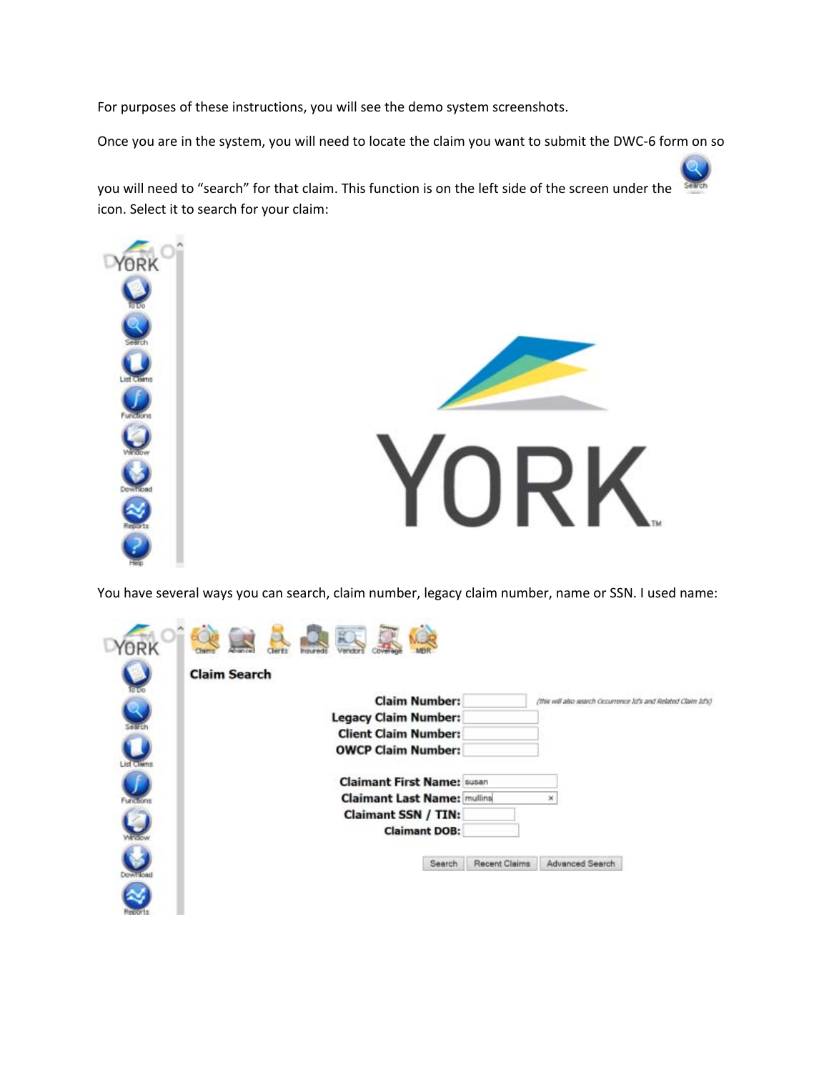For purposes of these instructions, you will see the demo system screenshots.

Once you are in the system, you will need to locate the claim you want to submit the DWC‐6 form on so

you will need to "search" for that claim. This function is on the left side of the screen under the icon. Select it to search for your claim:





You have several ways you can search, claim number, legacy claim number, name or SSN. I used name:

|                  | <b>Claim Search</b>                                                                    |
|------------------|----------------------------------------------------------------------------------------|
|                  | <b>Claim Number:</b><br>(this will also search Occurrence Id's and Related Claim Id's) |
|                  | <b>Legacy Claim Number:</b>                                                            |
|                  | <b>Client Claim Number:</b>                                                            |
| u<br>ist Cliens  | <b>OWCP Claim Number:</b>                                                              |
|                  | <b>Claimant First Name: susan</b>                                                      |
| Functions        | <b>Claimant Last Name: mulling</b><br>×                                                |
|                  | <b>Claimant SSN / TIN:</b>                                                             |
| $\cup$           | <b>Claimant DOB:</b>                                                                   |
| <b>DOWN ROAD</b> | <b>Recent Claims</b><br>Advanced Search<br>Search                                      |
| tepo             |                                                                                        |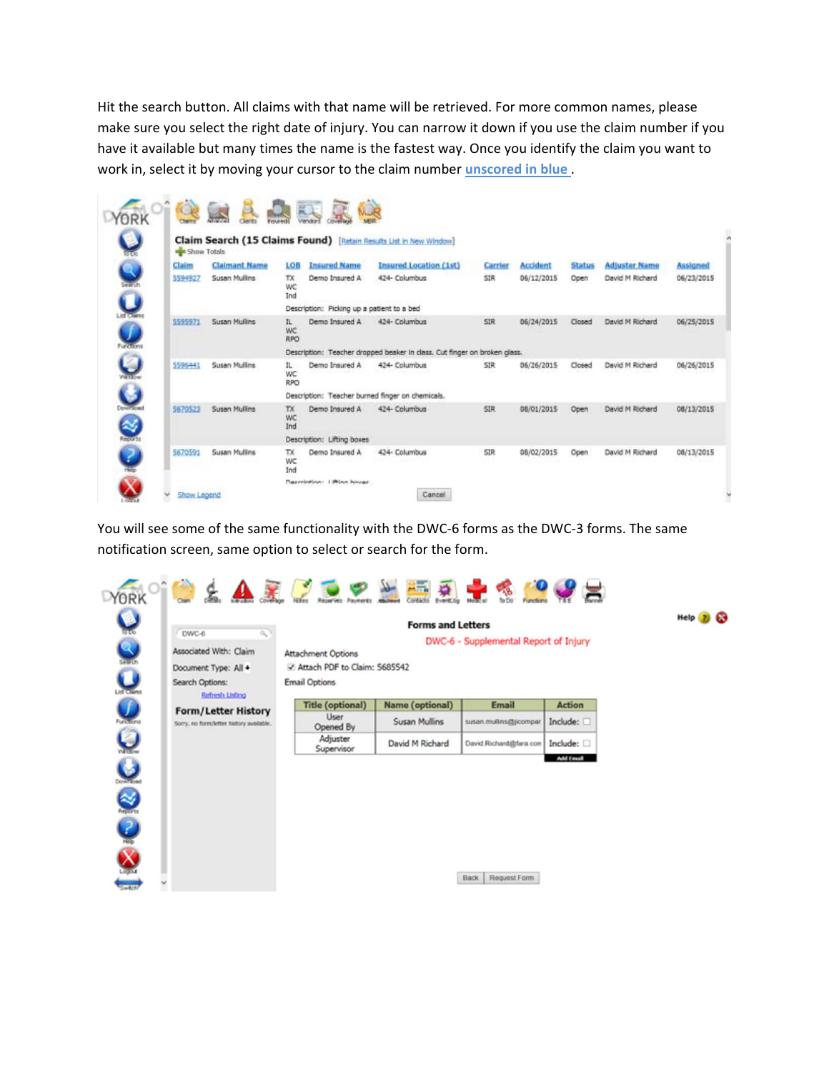Hit the search button. All claims with that name will be retrieved. For more common names, please make sure you select the right date of injury. You can narrow it down if you use the claim number if you have it available but many times the name is the fastest way. Once you identify the claim you want to work in, select it by moving your cursor to the claim number **unscored in blue** .

| $\bullet$         | <b>BR</b> Show Totals |                      |                         |                                            | Claim Search (15 Claims Found) [Retain Results List in New Window]        |            |            |               |                      |                 |
|-------------------|-----------------------|----------------------|-------------------------|--------------------------------------------|---------------------------------------------------------------------------|------------|------------|---------------|----------------------|-----------------|
| $\mathbf{R}$      | Claim                 | <b>Claimant Name</b> | LOB                     | <b>Insured Name</b>                        | <b>Insured Location (1st)</b>                                             | Carrier    | Accident   | <b>Status</b> | <b>Adjuster Name</b> | <b>Assigned</b> |
| <b>Selfich</b>    | 5594927               | <b>Susan Mullins</b> | TX.<br>WC<br>Ind        | Demo Insured A                             | 424- Columbus                                                             | <b>SIR</b> | 06/12/2015 | Open          | David M Richard      | 06/23/2015      |
| $\mathbf Q$       |                       |                      |                         | Description: Picking up a patient to a bed |                                                                           |            |            |               |                      |                 |
|                   | 5595971               | <b>Susan Mullins</b> | IL.<br>WC<br><b>RPO</b> | Demo Insured A                             | 424- Columbus                                                             | SIR        | 06/24/2015 | Closed        | David M Richard      | 06/25/2015      |
| Functions         |                       |                      |                         |                                            | Description: Teacher dropped beaker in class. Cut finger on broken glass. |            |            |               |                      |                 |
| $\mathbf{\Theta}$ | 5596441               | Susan Mullins        | IL.<br>WC<br><b>RPO</b> | Demo Insured A                             | 424- Columbus                                                             | SIR        | 06/26/2015 | Closed        | David M Richard      | 06/26/2015      |
| $\bullet$         |                       |                      |                         |                                            | Description: Teacher burned finger on chemicals.                          |            |            |               |                      |                 |
| ≪                 | 5670523               | Susan Mullins        | TX.<br>WC<br>Ind        | Demo Insured A                             | 424- Columbus                                                             | SIR        | 08/01/2015 | Open          | David M Richard      | 08/13/2015      |
| Records           |                       |                      |                         | Description: Lifting boxes                 |                                                                           |            |            |               |                      |                 |
| $\frac{2}{\pi}$   | 5670591               | <b>Susan Mullins</b> | TX.<br>WC<br>Ind        | Demo Insured A                             | 424- Columbus                                                             | SIR        | 08/02/2015 | Open          | David M Richard      | 08/13/2015      |

You will see some of the same functionality with the DWC‐6 forms as the DWC‐3 forms. The same notification screen, same option to select or search for the form.

Help 2 &

|                       |                                                                                        | Pauments                                                                   | Coreacts<br>Event.og     | To Do<br>Functions                    |               |
|-----------------------|----------------------------------------------------------------------------------------|----------------------------------------------------------------------------|--------------------------|---------------------------------------|---------------|
| $\bullet$<br>o<br>O   | DWC-6<br>$\alpha$<br>Associated With: Claim<br>Document Type: All +<br>Search Options: | <b>Attachment Options</b><br>Attach PDF to Claim: 5685542<br>Email Options | <b>Forms and Letters</b> | DWC-6 - Supplemental Report of Injury |               |
|                       | <b>Refresh Listing</b>                                                                 | <b>Title (optional)</b>                                                    | <b>Name (optional)</b>   | <b>Email</b>                          | <b>Action</b> |
| $\mathbf Q$           | <b>Form/Letter History</b><br>Sorry, no form/letter history available.                 | User<br>Opened By                                                          | Susan Mullins            | susan mulins@jicompar                 | Include:      |
| $\boldsymbol{\Theta}$ |                                                                                        | Adjuster<br>Supervisor                                                     | David M Richard          | David Richard@fara.com                | Include:      |
| 0000                  |                                                                                        |                                                                            |                          |                                       | Add Email     |
|                       |                                                                                        |                                                                            |                          |                                       |               |
|                       |                                                                                        |                                                                            |                          |                                       |               |
|                       |                                                                                        |                                                                            |                          |                                       |               |
| man                   |                                                                                        |                                                                            |                          | Request Form<br><b>Back</b>           |               |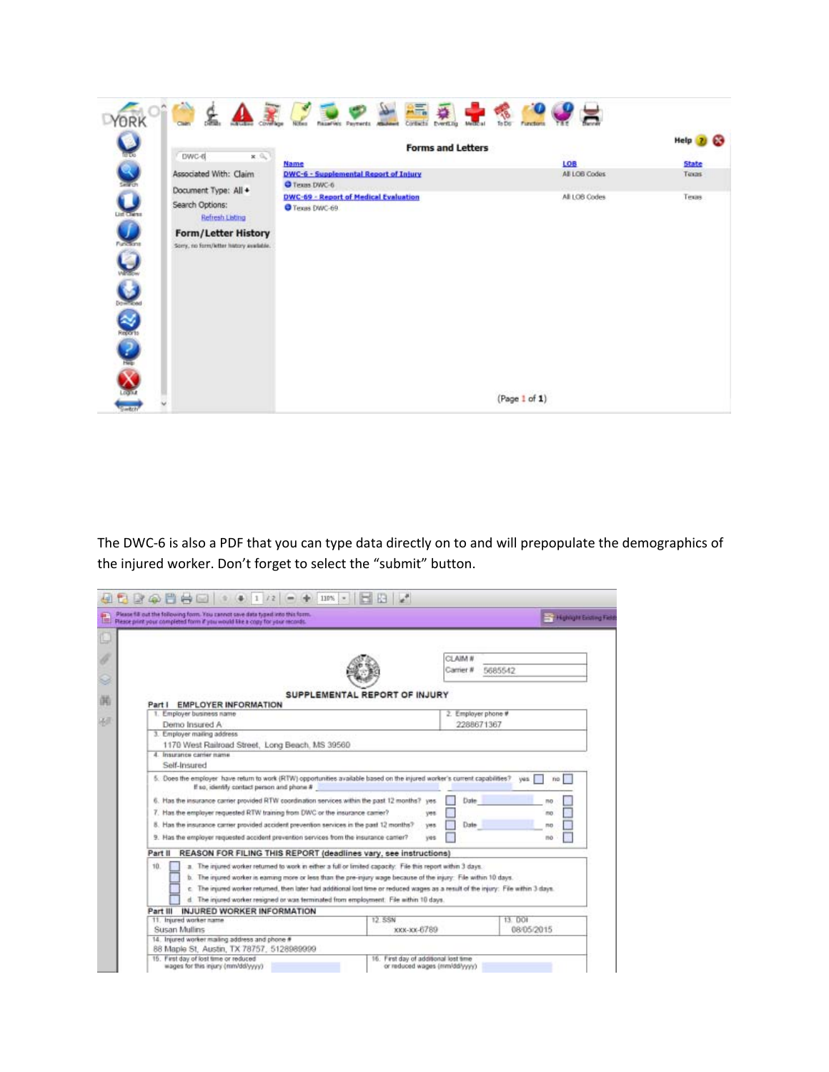| ORK                                      |                                                                        | Contacto<br>Razarvic Payments<br>Eventing<br>To Do<br>Metto al<br>Notwa<br><b>Churchert</b> | Functions                           |                                          |
|------------------------------------------|------------------------------------------------------------------------|---------------------------------------------------------------------------------------------|-------------------------------------|------------------------------------------|
| $\bullet$                                | DWC-6<br>x.ii.<br>Associated With: Claim                               | <b>Forms and Letters</b><br>Name<br>DWC-6 - Supplemental Report of Injury                   | <b>SSSD</b><br>LOB<br>All LOB Codes | Help <sub>2</sub><br>œ<br>State<br>Texas |
| <b>List Class</b>                        | Document Type: All +<br>Search Options:<br><b>Refresh Listing</b>      | O Texas DWC-6<br>DWC-69 - Report of Medical Evaluation<br>Texas DWC-69                      | All LOB Codes                       | Texas                                    |
| <b>Visions</b><br>ر<br>$\mathbf{\Theta}$ | <b>Form/Letter History</b><br>Sorry, no form/letter history available. |                                                                                             |                                     |                                          |
| Records                                  |                                                                        |                                                                                             |                                     |                                          |
| Logita<br><b>Switch</b>                  |                                                                        |                                                                                             | (Page 1 of 1)                       |                                          |

The DWC-6 is also a PDF that you can type data directly on to and will prepopulate the demographics of the injured worker. Don't forget to select the "submit" button.

| Please fill out the following form. You cannot save data typed into this form.<br>Please print your completed form if you would like a copy for your records.            |                               | - Highlight Existing Field |
|--------------------------------------------------------------------------------------------------------------------------------------------------------------------------|-------------------------------|----------------------------|
|                                                                                                                                                                          | CLAIM #<br>Camer #            | 5685542                    |
| <b>EMPLOYER INFORMATION</b><br>Part I                                                                                                                                    | SUPPLEMENTAL REPORT OF INJURY |                            |
| 1. Employer business name                                                                                                                                                | 2. Employer phone #           |                            |
| Demo Insured A                                                                                                                                                           | 2288671367                    |                            |
| 3. Employer mailing address                                                                                                                                              |                               |                            |
| 1170 West Railroad Street, Long Beach, MS 39560                                                                                                                          |                               |                            |
| 4. Insurance carrier name.                                                                                                                                               |                               |                            |
| Self-Insured                                                                                                                                                             |                               |                            |
| 5. Does the employer have return to work (RTW) opportunities available based on the injured worker's current capabilities?<br>If so, identify contact person and phone # |                               | <b>Ves</b><br>TID          |
| 6. Has the insurance carrier provided RTW coordination services within the past 12 months? ves                                                                           | Date                          | mo                         |
| 7. Has the employer requested RTW training from DWC or the insurance camer?                                                                                              | <b>Vet</b>                    | mo                         |
| 8. Has the insurance carrier provided accident prevention services in the past 12 months?                                                                                | Date<br>yes.                  | n <sub>n</sub>             |
| 9. Has the employer requested accident prevention services from the insurance carrier?                                                                                   | yes.                          | HO                         |
| Part II<br>REASON FOR FILING THIS REPORT (deadlines vary, see instructions)                                                                                              |                               |                            |
| 10<br>a. The injured worker returned to work in either a full or limited capacity. File this report within 3 days.                                                       |                               |                            |
| b. The injured worker is earning more or less than the pre-many wage because of the injury. File within 10 days.                                                         |                               |                            |
| c. The injured worker returned, then later had additional lost time or reduced wages as a result of the injury. File within 3 days.                                      |                               |                            |
| d. The injured worker resigned or was terminated from employment. File within 10 days.                                                                                   |                               |                            |
| <b>INJURED WORKER INFORMATION</b><br>Part III                                                                                                                            |                               |                            |
| 11. Injured worker name                                                                                                                                                  | 12. SSN                       | 13. DOI                    |
| Susan Mullins                                                                                                                                                            | KKK-KK-6789                   | 08/05/2015                 |
| 14. Injured worker mailing address and phone #                                                                                                                           |                               |                            |
|                                                                                                                                                                          |                               |                            |
| 88 Maple St. Austin, TX 78757, 5128989999                                                                                                                                |                               |                            |